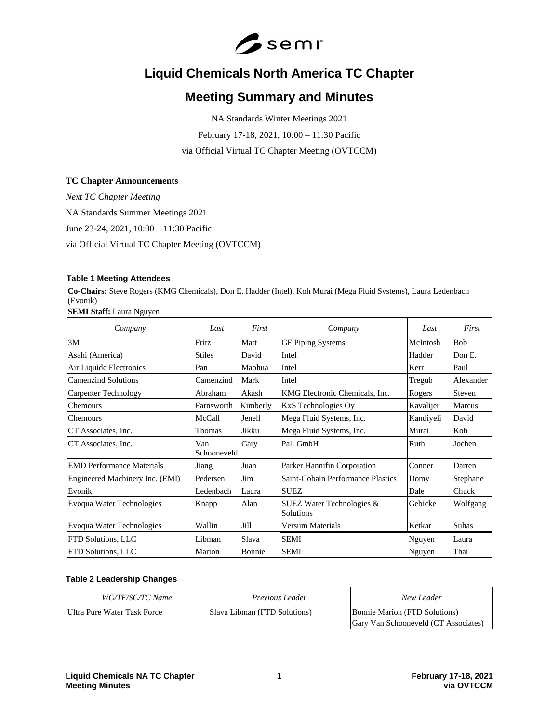

# **Liquid Chemicals North America TC Chapter**

# **Meeting Summary and Minutes**

NA Standards Winter Meetings 2021 February 17-18, 2021, 10:00 – 11:30 Pacific via Official Virtual TC Chapter Meeting (OVTCCM)

## **TC Chapter Announcements**

*Next TC Chapter Meeting* NA Standards Summer Meetings 2021 June 23-24, 2021, 10:00 – 11:30 Pacific via Official Virtual TC Chapter Meeting (OVTCCM)

## **Table 1 Meeting Attendees**

**Co-Chairs:** Steve Rogers (KMG Chemicals), Don E. Hadder (Intel), Koh Murai (Mega Fluid Systems), Laura Ledenbach (Evonik)

**SEMI Staff:** Laura Nguyen

| Company                          | Last               | First    | Company                                | Last      | First         |
|----------------------------------|--------------------|----------|----------------------------------------|-----------|---------------|
| 3M                               | Fritz              | Matt     | <b>GF Piping Systems</b>               | McIntosh  | <b>Bob</b>    |
| Asahi (America)                  | <b>Stiles</b>      | David    | Intel                                  | Hadder    | Don E.        |
| Air Liquide Electronics          | Pan                | Maohua   | Intel                                  | Kerr      | Paul          |
| <b>Camenzind Solutions</b>       | Camenzind          | Mark     | Intel                                  | Tregub    | Alexander     |
| <b>Carpenter Technology</b>      | Abraham            | Akash    | KMG Electronic Chemicals, Inc.         | Rogers    | Steven        |
| Chemours                         | Farnsworth         | Kimberly | <b>KxS</b> Technologies Oy             | Kavalijer | <b>Marcus</b> |
| Chemours                         | McCall             | Jenell   | Mega Fluid Systems, Inc.               | Kandiyeli | David         |
| CT Associates, Inc.              | Thomas             | Jikku    | Mega Fluid Systems, Inc.               | Murai     | Koh           |
| CT Associates, Inc.              | Van<br>Schooneveld | Gary     | Pall GmbH                              | Ruth      | Jochen        |
| <b>EMD</b> Performance Materials | Jiang              | Juan     | Parker Hannifin Corporation            | Conner    | Darren        |
| Engineered Machinery Inc. (EMI)  | Pedersen           | Jim      | Saint-Gobain Performance Plastics      | Domy      | Stephane      |
| Evonik                           | Ledenbach          | Laura    | <b>SUEZ</b>                            | Dale      | Chuck         |
| Evoqua Water Technologies        | Knapp              | Alan     | SUEZ Water Technologies &<br>Solutions | Gebicke   | Wolfgang      |
| Evoqua Water Technologies        | Wallin             | Jill     | Versum Materials                       | Ketkar    | Suhas         |
| FTD Solutions, LLC               | Libman             | Slava    | <b>SEMI</b>                            | Nguyen    | Laura         |
| FTD Solutions, LLC               | Marion             | Bonnie   | <b>SEMI</b>                            | Nguyen    | Thai          |

## **Table 2 Leadership Changes**

| <i>WG/TF/SC/TC Name</i>     | <i>Previous Leader</i>       | New Leader                           |
|-----------------------------|------------------------------|--------------------------------------|
| Ultra Pure Water Task Force | Slava Libman (FTD Solutions) | <b>Bonnie Marion (FTD Solutions)</b> |
|                             |                              | Gary Van Schooneveld (CT Associates) |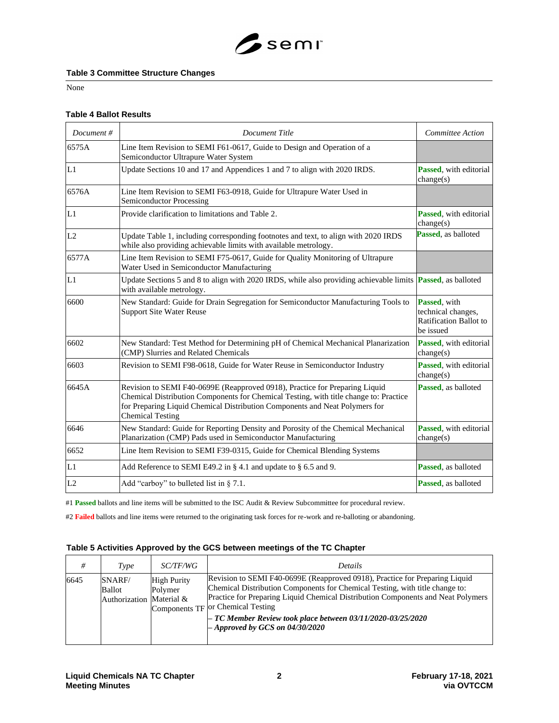

## **Table 3 Committee Structure Changes**

None

#### **Table 4 Ballot Results**

| Document# | <b>Document Title</b>                                                                                                                                                                                                                                                          | <b>Committee Action</b>                                                   |
|-----------|--------------------------------------------------------------------------------------------------------------------------------------------------------------------------------------------------------------------------------------------------------------------------------|---------------------------------------------------------------------------|
| 6575A     | Line Item Revision to SEMI F61-0617, Guide to Design and Operation of a<br>Semiconductor Ultrapure Water System                                                                                                                                                                |                                                                           |
| L1        | Update Sections 10 and 17 and Appendices 1 and 7 to align with 2020 IRDS.                                                                                                                                                                                                      | Passed, with editorial<br>change(s)                                       |
| 6576A     | Line Item Revision to SEMI F63-0918, Guide for Ultrapure Water Used in<br><b>Semiconductor Processing</b>                                                                                                                                                                      |                                                                           |
| L1        | Provide clarification to limitations and Table 2.                                                                                                                                                                                                                              | Passed, with editorial<br>change(s)                                       |
| L2        | Update Table 1, including corresponding footnotes and text, to align with 2020 IRDS<br>while also providing achievable limits with available metrology.                                                                                                                        | Passed, as balloted                                                       |
| 6577A     | Line Item Revision to SEMI F75-0617, Guide for Quality Monitoring of Ultrapure<br>Water Used in Semiconductor Manufacturing                                                                                                                                                    |                                                                           |
| L1        | Update Sections 5 and 8 to align with 2020 IRDS, while also providing achievable limits <b>Passed</b> , as balloted<br>with available metrology.                                                                                                                               |                                                                           |
| 6600      | New Standard: Guide for Drain Segregation for Semiconductor Manufacturing Tools to<br><b>Support Site Water Reuse</b>                                                                                                                                                          | Passed, with<br>technical changes,<br>Ratification Ballot to<br>be issued |
| 6602      | New Standard: Test Method for Determining pH of Chemical Mechanical Planarization<br>(CMP) Slurries and Related Chemicals                                                                                                                                                      | Passed, with editorial<br>change(s)                                       |
| 6603      | Revision to SEMI F98-0618, Guide for Water Reuse in Semiconductor Industry                                                                                                                                                                                                     | Passed, with editorial<br>change(s)                                       |
| 6645A     | Revision to SEMI F40-0699E (Reapproved 0918), Practice for Preparing Liquid<br>Chemical Distribution Components for Chemical Testing, with title change to: Practice<br>for Preparing Liquid Chemical Distribution Components and Neat Polymers for<br><b>Chemical Testing</b> | <b>Passed.</b> as balloted                                                |
| 6646      | New Standard: Guide for Reporting Density and Porosity of the Chemical Mechanical<br>Planarization (CMP) Pads used in Semiconductor Manufacturing                                                                                                                              | Passed, with editorial<br>change(s)                                       |
| 6652      | Line Item Revision to SEMI F39-0315, Guide for Chemical Blending Systems                                                                                                                                                                                                       |                                                                           |
| L1        | Add Reference to SEMI E49.2 in § 4.1 and update to § 6.5 and 9.                                                                                                                                                                                                                | Passed, as balloted                                                       |
| L2        | Add "carboy" to bulleted list in $\S$ 7.1.                                                                                                                                                                                                                                     | Passed, as balloted                                                       |

#1 **Passed** ballots and line items will be submitted to the ISC Audit & Review Subcommittee for procedural review.

#2 **Failed** ballots and line items were returned to the originating task forces for re-work and re-balloting or abandoning.

## **Table 5 Activities Approved by the GCS between meetings of the TC Chapter**

| #    | Type                                         | <i>SC/TF/WG</i>               | <b>Details</b>                                                                                                                                                                                                                                                                                                                                                                             |
|------|----------------------------------------------|-------------------------------|--------------------------------------------------------------------------------------------------------------------------------------------------------------------------------------------------------------------------------------------------------------------------------------------------------------------------------------------------------------------------------------------|
| 6645 | SNARF/<br>Ballot<br>Authorization Material & | <b>High Purity</b><br>Polymer | Revision to SEMI F40-0699E (Reapproved 0918), Practice for Preparing Liquid<br>Chemical Distribution Components for Chemical Testing, with title change to:<br>Practice for Preparing Liquid Chemical Distribution Components and Neat Polymers<br>Components TF or Chemical Testing<br>$-$ TC Member Review took place between 03/11/2020-03/25/2020<br>$-$ Approved by GCS on 04/30/2020 |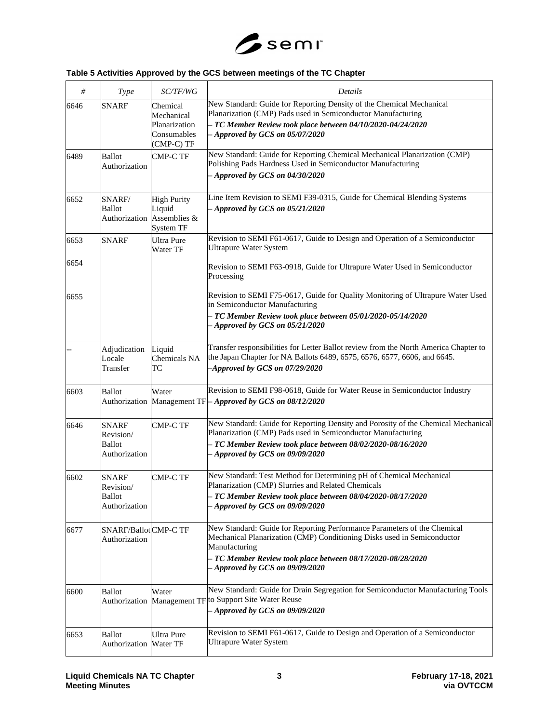

# **Table 5 Activities Approved by the GCS between meetings of the TC Chapter**

| #    | <b>Type</b>                                                 | SC/TF/WG                                                                | <b>Details</b>                                                                                                                                                                                                                                                       |
|------|-------------------------------------------------------------|-------------------------------------------------------------------------|----------------------------------------------------------------------------------------------------------------------------------------------------------------------------------------------------------------------------------------------------------------------|
| 6646 | <b>SNARF</b>                                                | Chemical<br>Mechanical<br>Planarization<br>Consumables<br>(CMP-C) TF    | New Standard: Guide for Reporting Density of the Chemical Mechanical<br>Planarization (CMP) Pads used in Semiconductor Manufacturing<br>TC Member Review took place between 04/10/2020-04/24/2020<br>- Approved by GCS on 05/07/2020                                 |
| 6489 | Ballot<br>Authorization                                     | <b>CMP-C TF</b>                                                         | New Standard: Guide for Reporting Chemical Mechanical Planarization (CMP)<br>Polishing Pads Hardness Used in Semiconductor Manufacturing<br>Approved by GCS on $04/30/2020$                                                                                          |
| 6652 | SNARF/<br>Ballot                                            | <b>High Purity</b><br>Liquid<br>Authorization Assemblies &<br>System TF | Line Item Revision to SEMI F39-0315, Guide for Chemical Blending Systems<br>Approved by GCS on $05/21/2020$                                                                                                                                                          |
| 6653 | <b>SNARF</b>                                                | <b>Ultra Pure</b><br>Water TF                                           | Revision to SEMI F61-0617, Guide to Design and Operation of a Semiconductor<br><b>Ultrapure Water System</b>                                                                                                                                                         |
| 6654 |                                                             |                                                                         | Revision to SEMI F63-0918, Guide for Ultrapure Water Used in Semiconductor<br>Processing                                                                                                                                                                             |
| 6655 |                                                             |                                                                         | Revision to SEMI F75-0617, Guide for Quality Monitoring of Ultrapure Water Used<br>in Semiconductor Manufacturing<br>TC Member Review took place between 05/01/2020-05/14/2020<br>Approved by GCS on 05/21/2020                                                      |
|      | Adjudication<br>Locale<br>Transfer                          | Liquid<br>Chemicals NA<br>ТC                                            | Transfer responsibilities for Letter Ballot review from the North America Chapter to<br>the Japan Chapter for NA Ballots 6489, 6575, 6576, 6577, 6606, and 6645.<br>$-{\it A}$ pproved by GCS on 07/29/2020                                                          |
| 6603 | Ballot                                                      | Water                                                                   | Revision to SEMI F98-0618, Guide for Water Reuse in Semiconductor Industry<br>Authorization Management TF-Approved by GCS on 08/12/2020                                                                                                                              |
| 6646 | <b>SNARF</b><br>Revision/<br><b>Ballot</b><br>Authorization | <b>CMP-C TF</b>                                                         | New Standard: Guide for Reporting Density and Porosity of the Chemical Mechanical<br>Planarization (CMP) Pads used in Semiconductor Manufacturing<br>TC Member Review took place between 08/02/2020-08/16/2020<br>Approved by GCS on 09/09/2020                      |
| 6602 | <b>SNARF</b><br>Revision/<br><b>Ballot</b><br>Authorization | <b>CMP-C TF</b>                                                         | New Standard: Test Method for Determining pH of Chemical Mechanical<br>Planarization (CMP) Slurries and Related Chemicals<br>TC Member Review took place between 08/04/2020-08/17/2020<br>Approved by GCS on 09/09/2020                                              |
| 6677 | SNARF/Ballot CMP-C TF<br>Authorization                      |                                                                         | New Standard: Guide for Reporting Performance Parameters of the Chemical<br>Mechanical Planarization (CMP) Conditioning Disks used in Semiconductor<br>Manufacturing<br>TC Member Review took place between 08/17/2020-08/28/2020<br>- Approved by GCS on 09/09/2020 |
| 6600 | Ballot                                                      | Water                                                                   | New Standard: Guide for Drain Segregation for Semiconductor Manufacturing Tools<br>Authorization Management TF to Support Site Water Reuse<br>Approved by GCS on 09/09/2020                                                                                          |
| 6653 | Ballot<br>Authorization                                     | <b>Ultra Pure</b><br>Water TF                                           | Revision to SEMI F61-0617, Guide to Design and Operation of a Semiconductor<br><b>Ultrapure Water System</b>                                                                                                                                                         |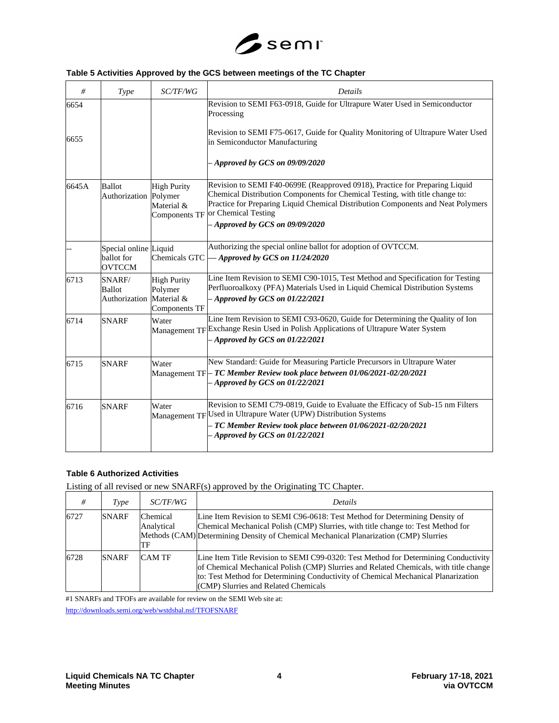

# **Table 5 Activities Approved by the GCS between meetings of the TC Chapter**

| #     | Type                                                 | SC/TF/WG                                                 | Details                                                                                                                                                                                                                                                                                                     |
|-------|------------------------------------------------------|----------------------------------------------------------|-------------------------------------------------------------------------------------------------------------------------------------------------------------------------------------------------------------------------------------------------------------------------------------------------------------|
| 6654  |                                                      |                                                          | Revision to SEMI F63-0918, Guide for Ultrapure Water Used in Semiconductor<br>Processing                                                                                                                                                                                                                    |
| 6655  |                                                      |                                                          | Revision to SEMI F75-0617, Guide for Quality Monitoring of Ultrapure Water Used<br>in Semiconductor Manufacturing                                                                                                                                                                                           |
|       |                                                      |                                                          | $-A$ pproved by GCS on 09/09/2020                                                                                                                                                                                                                                                                           |
| 6645A | <b>Ballot</b><br>Authorization Polymer               | <b>High Purity</b><br>Material &<br><b>Components TF</b> | Revision to SEMI F40-0699E (Reapproved 0918), Practice for Preparing Liquid<br>Chemical Distribution Components for Chemical Testing, with title change to:<br>Practice for Preparing Liquid Chemical Distribution Components and Neat Polymers<br>or Chemical Testing<br>$-$ Approved by GCS on 09/09/2020 |
|       | Special online Liquid<br>ballot for<br><b>OVTCCM</b> | Chemicals GTC                                            | Authorizing the special online ballot for adoption of OVTCCM.<br>- Approved by GCS on 11/24/2020                                                                                                                                                                                                            |
| 6713  | SNARF/<br><b>Ballot</b><br>Authorization Material &  | <b>High Purity</b><br>Polymer<br>Components TF           | Line Item Revision to SEMI C90-1015, Test Method and Specification for Testing<br>Perfluoroalkoxy (PFA) Materials Used in Liquid Chemical Distribution Systems<br>$-$ Approved by GCS on 01/22/2021                                                                                                         |
| 6714  | <b>SNARF</b>                                         | Water                                                    | Line Item Revision to SEMI C93-0620, Guide for Determining the Quality of Ion<br>Management TF Exchange Resin Used in Polish Applications of Ultrapure Water System<br>$-$ Approved by GCS on 01/22/2021                                                                                                    |
| 6715  | <b>SNARF</b>                                         | Water                                                    | New Standard: Guide for Measuring Particle Precursors in Ultrapure Water<br>Management TF $\vdash$ TC Member Review took place between 01/06/2021-02/20/2021<br>$-A$ pproved by GCS on 01/22/2021                                                                                                           |
| 6716  | <b>SNARF</b>                                         | Water                                                    | Revision to SEMI C79-0819, Guide to Evaluate the Efficacy of Sub-15 nm Filters<br>Management TF Used in Ultrapure Water (UPW) Distribution Systems<br>TC Member Review took place between 01/06/2021-02/20/2021<br>$-$ Approved by GCS on 01/22/2021                                                        |

# **Table 6 Authorized Activities**

Listing of all revised or new SNARF(s) approved by the Originating TC Chapter.

| #    | Type         | <i>SC/TF/WG</i>              | <b>Details</b>                                                                                                                                                                                                                                                                                            |
|------|--------------|------------------------------|-----------------------------------------------------------------------------------------------------------------------------------------------------------------------------------------------------------------------------------------------------------------------------------------------------------|
| 6727 | <b>SNARF</b> | Chemical<br>Analytical<br>TF | Line Item Revision to SEMI C96-0618: Test Method for Determining Density of<br>Chemical Mechanical Polish (CMP) Slurries, with title change to: Test Method for<br>Methods (CAM) Determining Density of Chemical Mechanical Planarization (CMP) Slurries                                                  |
| 6728 | <b>SNARF</b> | <b>CAM TF</b>                | Line Item Title Revision to SEMI C99-0320: Test Method for Determining Conductivity<br>of Chemical Mechanical Polish (CMP) Slurries and Related Chemicals, with title change<br>to: Test Method for Determining Conductivity of Chemical Mechanical Planarization<br>(CMP) Slurries and Related Chemicals |

#1 SNARFs and TFOFs are available for review on the SEMI Web site at: <http://downloads.semi.org/web/wstdsbal.nsf/TFOFSNARF>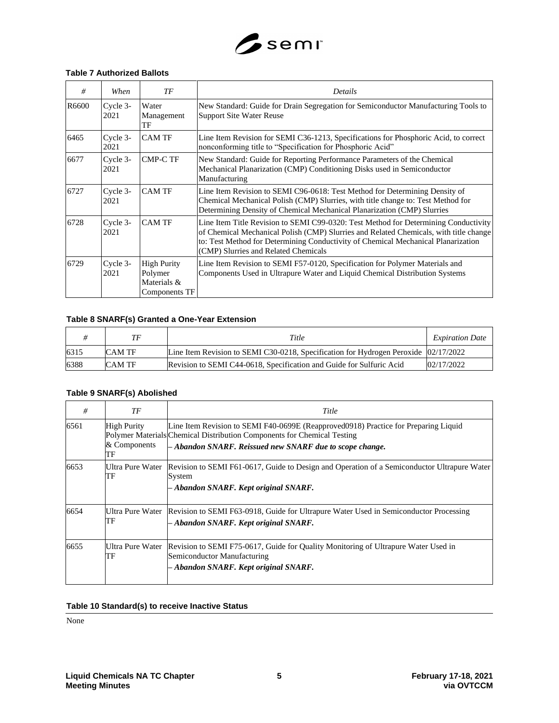

### **Table 7 Authorized Ballots**

| #     | When             | ТF                                                            | Details                                                                                                                                                                                                                                                                                                   |
|-------|------------------|---------------------------------------------------------------|-----------------------------------------------------------------------------------------------------------------------------------------------------------------------------------------------------------------------------------------------------------------------------------------------------------|
| R6600 | Cycle 3-<br>2021 | Water<br>Management<br>TF                                     | New Standard: Guide for Drain Segregation for Semiconductor Manufacturing Tools to<br><b>Support Site Water Reuse</b>                                                                                                                                                                                     |
| 6465  | Cycle 3-<br>2021 | <b>CAM TF</b>                                                 | Line Item Revision for SEMI C36-1213, Specifications for Phosphoric Acid, to correct<br>nonconforming title to "Specification for Phosphoric Acid"                                                                                                                                                        |
| 6677  | Cycle 3-<br>2021 | <b>CMP-C TF</b>                                               | New Standard: Guide for Reporting Performance Parameters of the Chemical<br>Mechanical Planarization (CMP) Conditioning Disks used in Semiconductor<br>Manufacturing                                                                                                                                      |
| 6727  | Cycle 3-<br>2021 | <b>CAM TF</b>                                                 | Line Item Revision to SEMI C96-0618: Test Method for Determining Density of<br>Chemical Mechanical Polish (CMP) Slurries, with title change to: Test Method for<br>Determining Density of Chemical Mechanical Planarization (CMP) Slurries                                                                |
| 6728  | Cycle 3-<br>2021 | <b>CAM TF</b>                                                 | Line Item Title Revision to SEMI C99-0320: Test Method for Determining Conductivity<br>of Chemical Mechanical Polish (CMP) Slurries and Related Chemicals, with title change<br>to: Test Method for Determining Conductivity of Chemical Mechanical Planarization<br>(CMP) Slurries and Related Chemicals |
| 6729  | Cycle 3-<br>2021 | <b>High Purity</b><br>Polymer<br>Materials &<br>Components TF | Line Item Revision to SEMI F57-0120, Specification for Polymer Materials and<br>Components Used in Ultrapure Water and Liquid Chemical Distribution Systems                                                                                                                                               |

# **Table 8 SNARF(s) Granted a One-Year Extension**

|      | ТF     | Title                                                                                   | <i>Expiration Date</i> |
|------|--------|-----------------------------------------------------------------------------------------|------------------------|
| 6315 | CAM TF | Line Item Revision to SEMI C30-0218, Specification for Hydrogen Peroxide $ 02/17/2022 $ |                        |
| 6388 | CAM TF | Revision to SEMI C44-0618, Specification and Guide for Sulfuric Acid                    | 02/17/2022             |

## **Table 9 SNARF(s) Abolished**

| #    | TF                                       | Title                                                                                                                                                                                                                        |
|------|------------------------------------------|------------------------------------------------------------------------------------------------------------------------------------------------------------------------------------------------------------------------------|
| 6561 | <b>High Purity</b><br>& Components<br>TF | Line Item Revision to SEMI F40-0699E (Reapproved0918) Practice for Preparing Liquid<br>Polymer Materials Chemical Distribution Components for Chemical Testing<br>$-$ Abandon SNARF. Reissued new SNARF due to scope change. |
| 6653 | Ultra Pure Water<br>TF                   | Revision to SEMI F61-0617, Guide to Design and Operation of a Semiconductor Ultrapure Water<br>System<br>- Abandon SNARF. Kept original SNARF.                                                                               |
| 6654 | Ultra Pure Water<br>TF                   | Revision to SEMI F63-0918, Guide for Ultrapure Water Used in Semiconductor Processing<br>- Abandon SNARF. Kept original SNARF.                                                                                               |
| 6655 | Ultra Pure Water<br>TF                   | Revision to SEMI F75-0617, Guide for Quality Monitoring of Ultrapure Water Used in<br>Semiconductor Manufacturing<br>- Abandon SNARF. Kept original SNARF.                                                                   |

## **Table 10 Standard(s) to receive Inactive Status**

None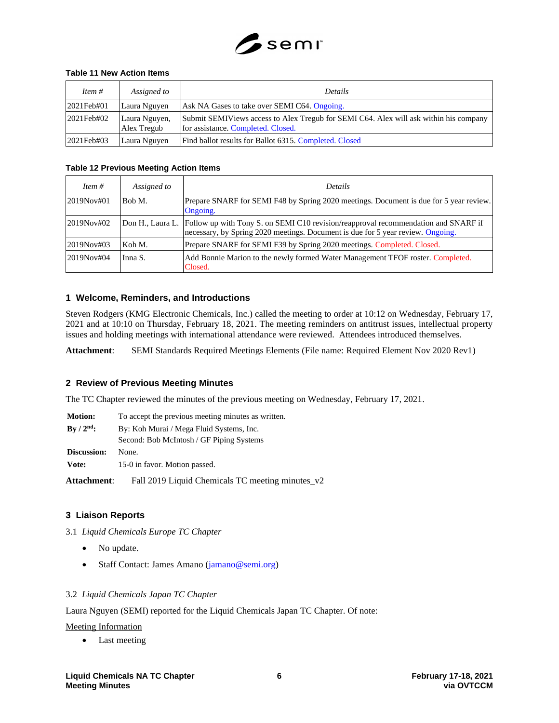

## **Table 11 New Action Items**

| Item $#$      | Assigned to                  | <b>Details</b>                                                                                                              |
|---------------|------------------------------|-----------------------------------------------------------------------------------------------------------------------------|
| $2021$ Feb#01 | Laura Nguyen                 | Ask NA Gases to take over SEMI C64. Ongoing.                                                                                |
| 2021Feb#02    | Laura Nguyen,<br>Alex Tregub | Submit SEMIViews access to Alex Tregub for SEMI C64. Alex will ask within his company<br>for assistance. Completed. Closed. |
| $2021$ Feb#03 | Laura Nguyen                 | Find ballot results for Ballot 6315. Completed. Closed                                                                      |

## **Table 12 Previous Meeting Action Items**

| Item $#$   | Assigned to | <b>Details</b>                                                                                                                                                                           |
|------------|-------------|------------------------------------------------------------------------------------------------------------------------------------------------------------------------------------------|
| 2019Nov#01 | Bob M.      | Prepare SNARF for SEMI F48 by Spring 2020 meetings. Document is due for 5 year review.<br>Ongoing.                                                                                       |
| 2019Nov#02 |             | Don H., Laura L.   Follow up with Tony S. on SEMI C10 revision/reapproval recommendation and SNARF if<br>necessary, by Spring 2020 meetings. Document is due for 5 year review. Ongoing. |
| 2019Nov#03 | Koh M.      | Prepare SNARF for SEMI F39 by Spring 2020 meetings. Completed. Closed.                                                                                                                   |
| 2019Nov#04 | Inna S.     | Add Bonnie Marion to the newly formed Water Management TFOF roster. Completed.<br>Closed.                                                                                                |

## **1 Welcome, Reminders, and Introductions**

Steven Rodgers (KMG Electronic Chemicals, Inc.) called the meeting to order at 10:12 on Wednesday, February 17, 2021 and at 10:10 on Thursday, February 18, 2021. The meeting reminders on antitrust issues, intellectual property issues and holding meetings with international attendance were reviewed. Attendees introduced themselves.

**Attachment**: SEMI Standards Required Meetings Elements (File name: Required Element Nov 2020 Rev1)

# **2 Review of Previous Meeting Minutes**

The TC Chapter reviewed the minutes of the previous meeting on Wednesday, February 17, 2021.

| <b>Motion:</b>                  | To accept the previous meeting minutes as written. |  |
|---------------------------------|----------------------------------------------------|--|
| $\rm\,By\,$ / $\rm\,2^{nd}\rm:$ | By: Koh Murai / Mega Fluid Systems, Inc.           |  |
|                                 | Second: Bob McIntosh / GF Piping Systems           |  |
| Discussion:                     | None.                                              |  |
| Vote:                           | 15-0 in favor. Motion passed.                      |  |

**Attachment**: Fall 2019 Liquid Chemicals TC meeting minutes\_v2

# **3 Liaison Reports**

3.1 *Liquid Chemicals Europe TC Chapter*

- No update.
- Staff Contact: James Amano (*jamano@semi.org*)

# 3.2 *Liquid Chemicals Japan TC Chapter*

Laura Nguyen (SEMI) reported for the Liquid Chemicals Japan TC Chapter. Of note:

Meeting Information

• Last meeting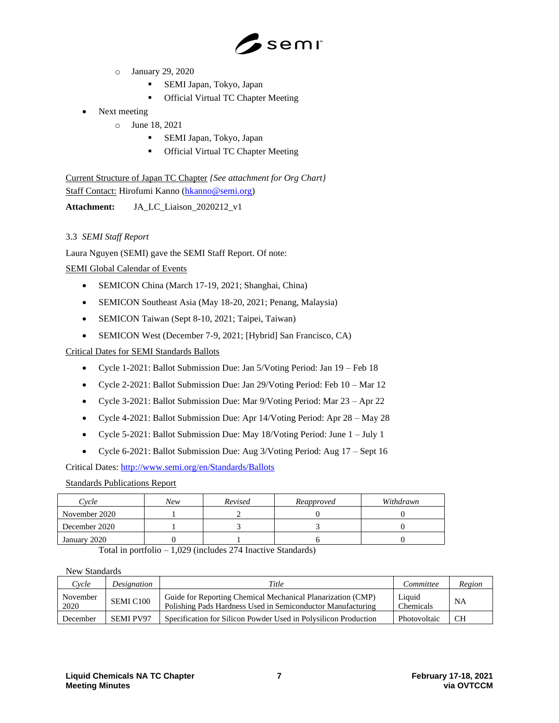

- o January 29, 2020
	- SEMI Japan, Tokyo, Japan
	- Official Virtual TC Chapter Meeting
- Next meeting
	- o June 18, 2021
		- SEMI Japan, Tokyo, Japan
		- Official Virtual TC Chapter Meeting

Current Structure of Japan TC Chapter *{See attachment for Org Chart}* Staff Contact: Hirofumi Kanno [\(hkanno@semi.org\)](mailto:hkanno@semi.org)

**Attachment:** JA\_LC\_Liaison\_2020212\_v1

# 3.3 *SEMI Staff Report*

Laura Nguyen (SEMI) gave the SEMI Staff Report. Of note:

# SEMI Global Calendar of Events

- SEMICON China (March 17-19, 2021; Shanghai, China)
- SEMICON Southeast Asia (May 18-20, 2021; Penang, Malaysia)
- SEMICON Taiwan (Sept 8-10, 2021; Taipei, Taiwan)
- SEMICON West (December 7-9, 2021; [Hybrid] San Francisco, CA)

Critical Dates for SEMI Standards Ballots

- Cycle 1-2021: Ballot Submission Due: Jan 5/Voting Period: Jan 19 Feb 18
- Cycle 2-2021: Ballot Submission Due: Jan 29/Voting Period: Feb 10 Mar 12
- Cycle 3-2021: Ballot Submission Due: Mar 9/Voting Period: Mar 23 Apr 22
- Cycle 4-2021: Ballot Submission Due: Apr 14/Voting Period: Apr 28 May 28
- Cycle 5-2021: Ballot Submission Due: May 18/Voting Period: June 1 July 1
- Cycle 6-2021: Ballot Submission Due: Aug 3/Voting Period: Aug 17 Sept 16

Critical Dates:<http://www.semi.org/en/Standards/Ballots>

# Standards Publications Report

| Cvcle         | New | Revised | Reapproved | Withdrawn |
|---------------|-----|---------|------------|-----------|
| November 2020 |     |         |            |           |
| December 2020 |     |         |            |           |
| January 2020  |     |         |            |           |

Total in portfolio – 1,029 (includes 274 Inactive Standards)

#### New Standards

| <i>Cycle</i>     | Designation           | Title                                                                                                                      | Committee           | Region |
|------------------|-----------------------|----------------------------------------------------------------------------------------------------------------------------|---------------------|--------|
| November<br>2020 | SEMI C <sub>100</sub> | Guide for Reporting Chemical Mechanical Planarization (CMP)<br>Polishing Pads Hardness Used in Semiconductor Manufacturing | Liquid<br>Chemicals | NA     |
| December         | <b>SEMI PV97</b>      | Specification for Silicon Powder Used in Polysilicon Production                                                            | Photovoltaic        | CН     |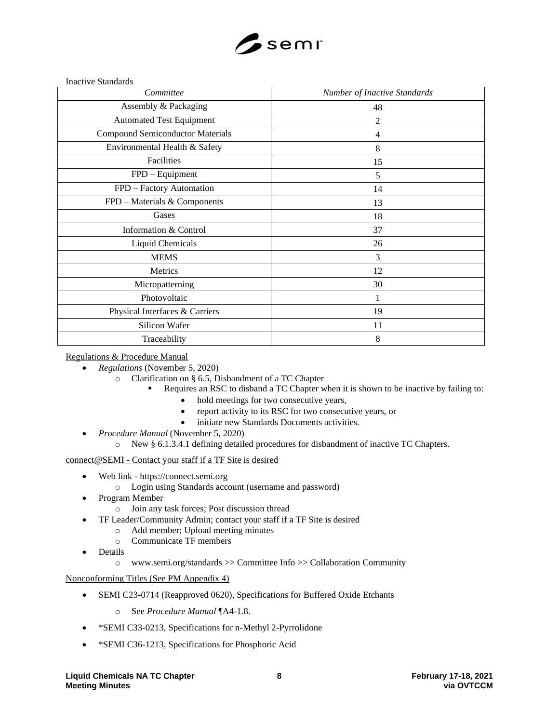

Inactive Standards

| Committee                               | Number of Inactive Standards |
|-----------------------------------------|------------------------------|
| Assembly & Packaging                    | 48                           |
| <b>Automated Test Equipment</b>         | $\overline{2}$               |
| <b>Compound Semiconductor Materials</b> | $\overline{4}$               |
| Environmental Health & Safety           | 8                            |
| Facilities                              | 15                           |
| FPD - Equipment                         | 5                            |
| FPD - Factory Automation                | 14                           |
| FPD – Materials & Components            | 13                           |
| Gases                                   | 18                           |
| Information & Control                   | 37                           |
| Liquid Chemicals                        | 26                           |
| <b>MEMS</b>                             | 3                            |
| Metrics                                 | 12                           |
| Micropatterning                         | 30                           |
| Photovoltaic                            | 1                            |
| Physical Interfaces & Carriers          | 19                           |
| Silicon Wafer                           | 11                           |
| Traceability                            | 8                            |

## Regulations & Procedure Manual

- *Regulations* (November 5, 2020)
	- o Clarification on § 6.5, Disbandment of a TC Chapter
		- Requires an RSC to disband a TC Chapter when it is shown to be inactive by failing to:
			- hold meetings for two consecutive years,
			- report activity to its RSC for two consecutive years, or
			- initiate new Standards Documents activities.
- *Procedure Manual* (November 5, 2020)
	- o New § 6.1.3.4.1 defining detailed procedures for disbandment of inactive TC Chapters.

# connect@SEMI - Contact your staff if a TF Site is desired

- Web link https://connect.semi.org
	- o Login using Standards account (username and password)
- Program Member
	- o Join any task forces; Post discussion thread
- TF Leader/Community Admin; contact your staff if a TF Site is desired
	- o Add member; Upload meeting minutes
	- o Communicate TF members
- **Details** 
	- o www.semi.org/standards >> Committee Info >> Collaboration Community

#### Nonconforming Titles (See PM Appendix 4)

- SEMI C23-0714 (Reapproved 0620), Specifications for Buffered Oxide Etchants
	- o See *Procedure Manual* ¶A4-1.8.
- \*SEMI C33-0213, Specifications for n-Methyl 2-Pyrrolidone
- \*SEMI C36-1213, Specifications for Phosphoric Acid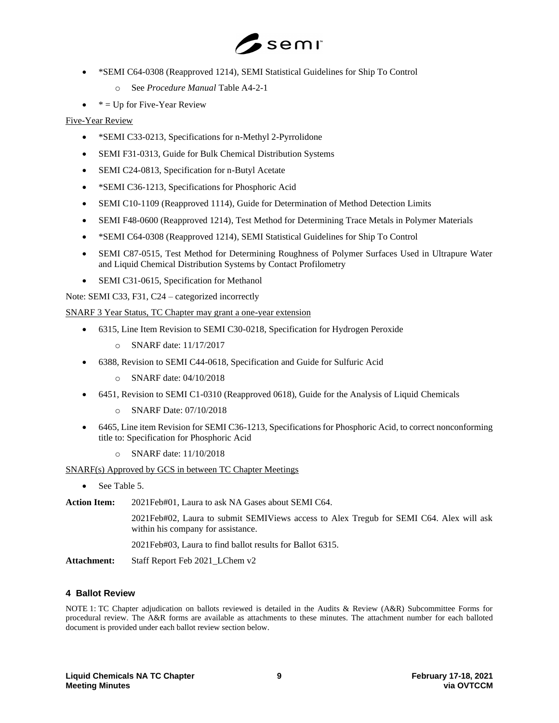

- \*SEMI C64-0308 (Reapproved 1214), SEMI Statistical Guidelines for Ship To Control
	- o See *Procedure Manual* Table A4-2-1
- $*$  = Up for Five-Year Review

# Five-Year Review

- \*SEMI C33-0213, Specifications for n-Methyl 2-Pyrrolidone
- SEMI F31-0313, Guide for Bulk Chemical Distribution Systems
- SEMI C24-0813, Specification for n-Butyl Acetate
- \*SEMI C36-1213, Specifications for Phosphoric Acid
- SEMI C10-1109 (Reapproved 1114), Guide for Determination of Method Detection Limits
- SEMI F48-0600 (Reapproved 1214), Test Method for Determining Trace Metals in Polymer Materials
- \*SEMI C64-0308 (Reapproved 1214), SEMI Statistical Guidelines for Ship To Control
- SEMI C87-0515, Test Method for Determining Roughness of Polymer Surfaces Used in Ultrapure Water and Liquid Chemical Distribution Systems by Contact Profilometry
- SEMI C31-0615, Specification for Methanol

Note: SEMI C33, F31, C24 – categorized incorrectly

SNARF 3 Year Status, TC Chapter may grant a one-year extension

- 6315, Line Item Revision to SEMI C30-0218, Specification for Hydrogen Peroxide
	- o SNARF date: 11/17/2017
- 6388, Revision to SEMI C44-0618, Specification and Guide for Sulfuric Acid
	- o SNARF date: 04/10/2018
- 6451, Revision to SEMI C1-0310 (Reapproved 0618), Guide for the Analysis of Liquid Chemicals
	- o SNARF Date: 07/10/2018
- 6465, Line item Revision for SEMI C36-1213, Specifications for Phosphoric Acid, to correct nonconforming title to: Specification for Phosphoric Acid
	- o SNARF date: 11/10/2018

SNARF(s) Approved by GCS in between TC Chapter Meetings

• See Table 5.

**Action Item:** 2021Feb#01, Laura to ask NA Gases about SEMI C64.

2021Feb#02, Laura to submit SEMIViews access to Alex Tregub for SEMI C64. Alex will ask within his company for assistance.

2021Feb#03, Laura to find ballot results for Ballot 6315.

**Attachment:** Staff Report Feb 2021\_LChem v2

# **4 Ballot Review**

NOTE 1: TC Chapter adjudication on ballots reviewed is detailed in the Audits & Review (A&R) Subcommittee Forms for procedural review. The A&R forms are available as attachments to these minutes. The attachment number for each balloted document is provided under each ballot review section below.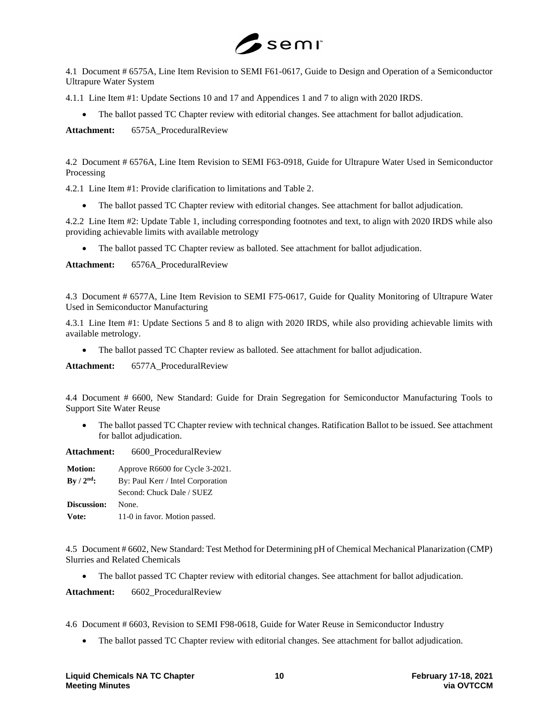

4.1 Document # 6575A, Line Item Revision to SEMI F61-0617, Guide to Design and Operation of a Semiconductor Ultrapure Water System

4.1.1 Line Item #1: Update Sections 10 and 17 and Appendices 1 and 7 to align with 2020 IRDS.

• The ballot passed TC Chapter review with editorial changes. See attachment for ballot adjudication.

**Attachment:** 6575A\_ProceduralReview

4.2 Document # 6576A, Line Item Revision to SEMI F63-0918, Guide for Ultrapure Water Used in Semiconductor Processing

4.2.1 Line Item #1: Provide clarification to limitations and Table 2.

• The ballot passed TC Chapter review with editorial changes. See attachment for ballot adjudication.

4.2.2 Line Item #2: Update Table 1, including corresponding footnotes and text, to align with 2020 IRDS while also providing achievable limits with available metrology

• The ballot passed TC Chapter review as balloted. See attachment for ballot adjudication.

Attachment: 6576A ProceduralReview

4.3 Document # 6577A, Line Item Revision to SEMI F75-0617, Guide for Quality Monitoring of Ultrapure Water Used in Semiconductor Manufacturing

4.3.1 Line Item #1: Update Sections 5 and 8 to align with 2020 IRDS, while also providing achievable limits with available metrology.

• The ballot passed TC Chapter review as balloted. See attachment for ballot adjudication.

Attachment: 6577A ProceduralReview

4.4 Document # 6600, New Standard: Guide for Drain Segregation for Semiconductor Manufacturing Tools to Support Site Water Reuse

• The ballot passed TC Chapter review with technical changes. Ratification Ballot to be issued. See attachment for ballot adjudication.

**Attachment:** 6600\_ProceduralReview

| <b>Motion:</b> | Approve R6600 for Cycle 3-2021.   |  |
|----------------|-----------------------------------|--|
| $By / 2nd$ :   | By: Paul Kerr / Intel Corporation |  |
|                | Second: Chuck Dale / SUEZ         |  |
| Discussion:    | None.                             |  |
| Vote:          | 11-0 in favor. Motion passed.     |  |

4.5 Document # 6602, New Standard: Test Method for Determining pH of Chemical Mechanical Planarization (CMP) Slurries and Related Chemicals

• The ballot passed TC Chapter review with editorial changes. See attachment for ballot adjudication.

**Attachment:** 6602\_ProceduralReview

4.6 Document # 6603, Revision to SEMI F98-0618, Guide for Water Reuse in Semiconductor Industry

• The ballot passed TC Chapter review with editorial changes. See attachment for ballot adjudication.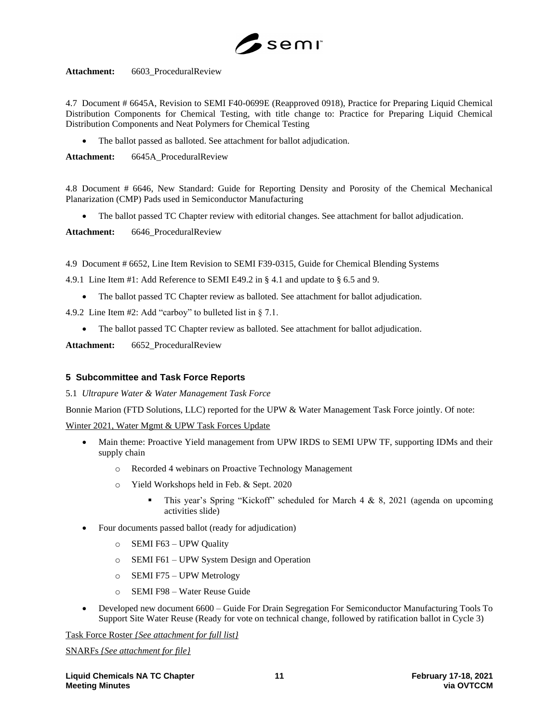

**Attachment:** 6603\_ProceduralReview

4.7 Document # 6645A, Revision to SEMI F40-0699E (Reapproved 0918), Practice for Preparing Liquid Chemical Distribution Components for Chemical Testing, with title change to: Practice for Preparing Liquid Chemical Distribution Components and Neat Polymers for Chemical Testing

The ballot passed as balloted. See attachment for ballot adjudication.

Attachment: 6645A ProceduralReview

4.8 Document # 6646, New Standard: Guide for Reporting Density and Porosity of the Chemical Mechanical Planarization (CMP) Pads used in Semiconductor Manufacturing

• The ballot passed TC Chapter review with editorial changes. See attachment for ballot adjudication.

Attachment: 6646 ProceduralReview

4.9 Document # 6652, Line Item Revision to SEMI F39-0315, Guide for Chemical Blending Systems

4.9.1 Line Item #1: Add Reference to SEMI E49.2 in § 4.1 and update to § 6.5 and 9.

• The ballot passed TC Chapter review as balloted. See attachment for ballot adjudication.

4.9.2 Line Item #2: Add "carboy" to bulleted list in § 7.1.

• The ballot passed TC Chapter review as balloted. See attachment for ballot adjudication.

Attachment: 6652 ProceduralReview

# **5 Subcommittee and Task Force Reports**

5.1 *Ultrapure Water & Water Management Task Force*

Bonnie Marion (FTD Solutions, LLC) reported for the UPW & Water Management Task Force jointly. Of note:

Winter 2021, Water Mgmt & UPW Task Forces Update

- Main theme: Proactive Yield management from UPW IRDS to SEMI UPW TF, supporting IDMs and their supply chain
	- o Recorded 4 webinars on Proactive Technology Management
	- o Yield Workshops held in Feb. & Sept. 2020
		- **This year's Spring "Kickoff" scheduled for March 4 & 8, 2021 (agenda on upcoming** activities slide)
- Four documents passed ballot (ready for adjudication)
	- o SEMI F63 UPW Quality
	- o SEMI F61 UPW System Design and Operation
	- o SEMI F75 UPW Metrology
	- o SEMI F98 Water Reuse Guide
- Developed new document 6600 Guide For Drain Segregation For Semiconductor Manufacturing Tools To Support Site Water Reuse (Ready for vote on technical change, followed by ratification ballot in Cycle 3)

Task Force Roster *{See attachment for full list}*

SNARFs *{See attachment for file}*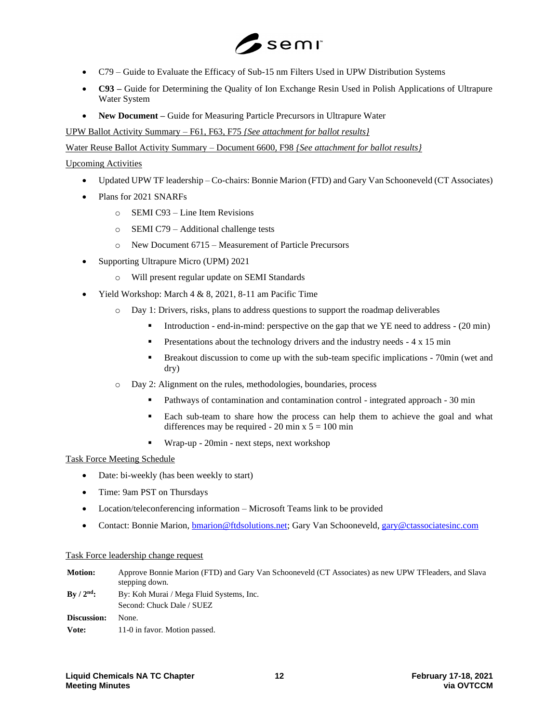

- C79 Guide to Evaluate the Efficacy of Sub-15 nm Filters Used in UPW Distribution Systems
- **C93 –** Guide for Determining the Quality of Ion Exchange Resin Used in Polish Applications of Ultrapure Water System
- **New Document –** Guide for Measuring Particle Precursors in Ultrapure Water

UPW Ballot Activity Summary – F61, F63, F75 *{See attachment for ballot results}*

Water Reuse Ballot Activity Summary – Document 6600, F98 *{See attachment for ballot results}*

## Upcoming Activities

- Updated UPW TF leadership Co-chairs: Bonnie Marion (FTD) and Gary Van Schooneveld (CT Associates)
- Plans for 2021 SNARFs
	- o SEMI C93 Line Item Revisions
	- o SEMI C79 Additional challenge tests
	- o New Document 6715 Measurement of Particle Precursors
- Supporting Ultrapure Micro (UPM) 2021
	- o Will present regular update on SEMI Standards
- Yield Workshop: March 4 & 8, 2021, 8-11 am Pacific Time
	- o Day 1: Drivers, risks, plans to address questions to support the roadmap deliverables
		- Introduction end-in-mind: perspective on the gap that we YE need to address (20 min)
		- **•** Presentations about the technology drivers and the industry needs 4 x 15 min
		- Breakout discussion to come up with the sub-team specific implications 70min (wet and dry)
	- o Day 2: Alignment on the rules, methodologies, boundaries, process
		- Pathways of contamination and contamination control integrated approach 30 min
		- Each sub-team to share how the process can help them to achieve the goal and what differences may be required - 20 min  $x 5 = 100$  min
		- Wrap-up 20min next steps, next workshop

# Task Force Meeting Schedule

- Date: bi-weekly (has been weekly to start)
- Time: 9am PST on Thursdays
- Location/teleconferencing information Microsoft Teams link to be provided
- Contact: Bonnie Marion, **bmarion@ftdsolutions.net**; Gary Van Schooneveld, [gary@ctassociatesinc.com](mailto:-gary@ctassociatesinc.com)

#### Task Force leadership change request

**Motion:** Approve Bonnie Marion (FTD) and Gary Van Schooneveld (CT Associates) as new UPW TFleaders, and Slava stepping down. **By / 2nd:** By: Koh Murai / Mega Fluid Systems, Inc. Second: Chuck Dale / SUEZ **Discussion:** None. Vote: 11-0 in favor. Motion passed.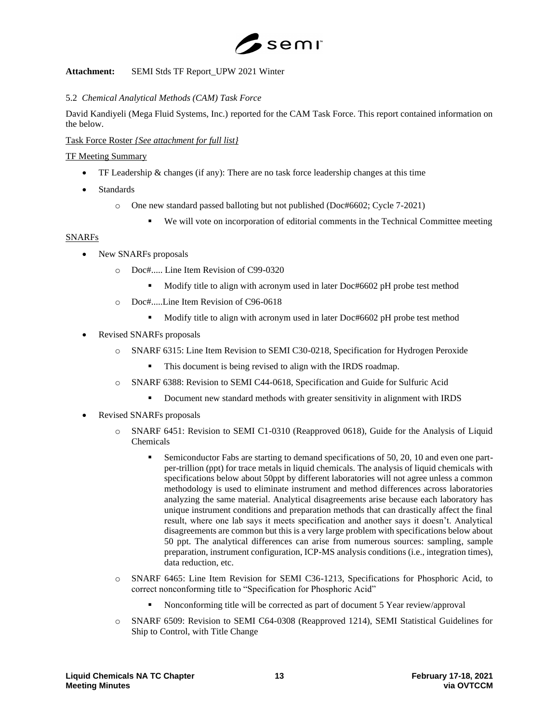

# **Attachment:** SEMI Stds TF Report\_UPW 2021 Winter

# 5.2 *Chemical Analytical Methods (CAM) Task Force*

David Kandiyeli (Mega Fluid Systems, Inc.) reported for the CAM Task Force. This report contained information on the below.

# Task Force Roster *{See attachment for full list}*

## TF Meeting Summary

- TF Leadership  $\&$  changes (if any): There are no task force leadership changes at this time
- Standards
	- o One new standard passed balloting but not published (Doc#6602; Cycle 7-2021)
		- We will vote on incorporation of editorial comments in the Technical Committee meeting

# SNARFs

- New SNARFs proposals
	- o Doc#..... Line Item Revision of C99-0320
		- Modify title to align with acronym used in later Doc#6602 pH probe test method
	- o Doc#.....Line Item Revision of C96-0618
		- Modify title to align with acronym used in later Doc#6602 pH probe test method
- Revised SNARFs proposals
	- o SNARF 6315: Line Item Revision to SEMI C30-0218, Specification for Hydrogen Peroxide
		- This document is being revised to align with the IRDS roadmap.
	- o SNARF 6388: Revision to SEMI C44-0618, Specification and Guide for Sulfuric Acid
		- **•** Document new standard methods with greater sensitivity in alignment with IRDS
- Revised SNARFs proposals
	- o SNARF 6451: Revision to SEMI C1-0310 (Reapproved 0618), Guide for the Analysis of Liquid Chemicals
		- Semiconductor Fabs are starting to demand specifications of 50, 20, 10 and even one partper-trillion (ppt) for trace metals in liquid chemicals. The analysis of liquid chemicals with specifications below about 50ppt by different laboratories will not agree unless a common methodology is used to eliminate instrument and method differences across laboratories analyzing the same material. Analytical disagreements arise because each laboratory has unique instrument conditions and preparation methods that can drastically affect the final result, where one lab says it meets specification and another says it doesn't. Analytical disagreements are common but this is a very large problem with specifications below about 50 ppt. The analytical differences can arise from numerous sources: sampling, sample preparation, instrument configuration, ICP-MS analysis conditions (i.e., integration times), data reduction, etc.
	- o SNARF 6465: Line Item Revision for SEMI C36-1213, Specifications for Phosphoric Acid, to correct nonconforming title to "Specification for Phosphoric Acid"
		- Nonconforming title will be corrected as part of document 5 Year review/approval
	- o SNARF 6509: Revision to SEMI C64-0308 (Reapproved 1214), SEMI Statistical Guidelines for Ship to Control, with Title Change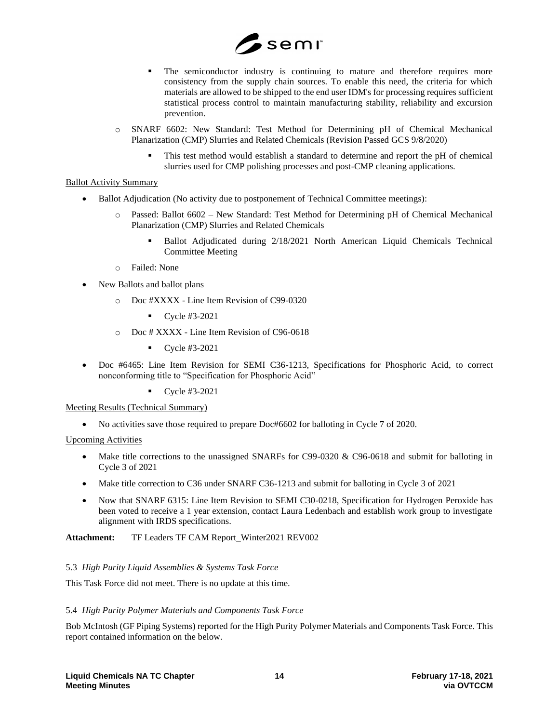

- The semiconductor industry is continuing to mature and therefore requires more consistency from the supply chain sources. To enable this need, the criteria for which materials are allowed to be shipped to the end user IDM's for processing requires sufficient statistical process control to maintain manufacturing stability, reliability and excursion prevention.
- o SNARF 6602: New Standard: Test Method for Determining pH of Chemical Mechanical Planarization (CMP) Slurries and Related Chemicals (Revision Passed GCS 9/8/2020)
	- This test method would establish a standard to determine and report the pH of chemical slurries used for CMP polishing processes and post-CMP cleaning applications.

### Ballot Activity Summary

- Ballot Adjudication (No activity due to postponement of Technical Committee meetings):
	- o Passed: Ballot 6602 New Standard: Test Method for Determining pH of Chemical Mechanical Planarization (CMP) Slurries and Related Chemicals
		- Ballot Adjudicated during 2/18/2021 North American Liquid Chemicals Technical Committee Meeting
	- o Failed: None
- New Ballots and ballot plans
	- o Doc #XXXX Line Item Revision of C99-0320
		- $\bullet$  Cycle #3-2021
	- o Doc # XXXX Line Item Revision of C96-0618
		- $\bullet$  Cycle #3-2021
- Doc #6465: Line Item Revision for SEMI C36-1213, Specifications for Phosphoric Acid, to correct nonconforming title to "Specification for Phosphoric Acid"
	- Cycle #3-2021

#### Meeting Results (Technical Summary)

• No activities save those required to prepare Doc#6602 for balloting in Cycle 7 of 2020.

#### Upcoming Activities

- Make title corrections to the unassigned SNARFs for C99-0320 & C96-0618 and submit for balloting in Cycle 3 of 2021
- Make title correction to C36 under SNARF C36-1213 and submit for balloting in Cycle 3 of 2021
- Now that SNARF 6315: Line Item Revision to SEMI C30-0218, Specification for Hydrogen Peroxide has been voted to receive a 1 year extension, contact Laura Ledenbach and establish work group to investigate alignment with IRDS specifications.

**Attachment:** TF Leaders TF CAM Report\_Winter2021 REV002

# 5.3 *High Purity Liquid Assemblies & Systems Task Force*

This Task Force did not meet. There is no update at this time.

# 5.4 *High Purity Polymer Materials and Components Task Force*

Bob McIntosh (GF Piping Systems) reported for the High Purity Polymer Materials and Components Task Force. This report contained information on the below.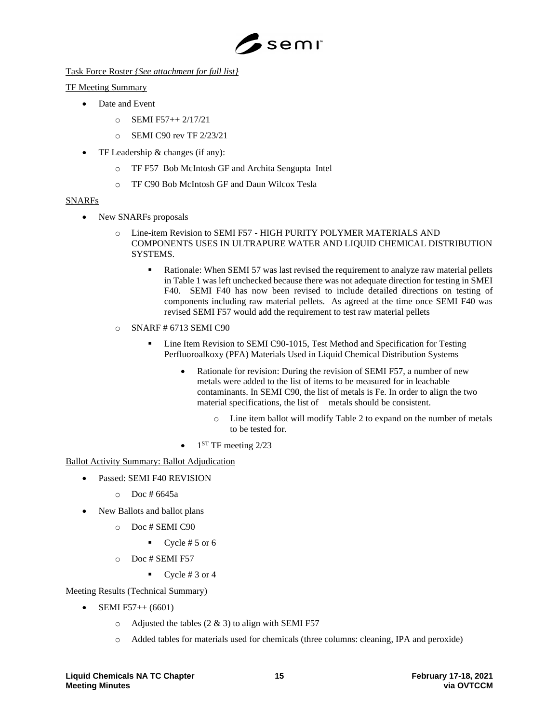

Task Force Roster *{See attachment for full list}*

# TF Meeting Summary

- Date and Event
	- $O$  SEMI F57++ 2/17/21
	- o SEMI C90 rev TF 2/23/21
- TF Leadership & changes (if any):
	- o TF F57 Bob McIntosh GF and Archita Sengupta Intel
	- o TF C90 Bob McIntosh GF and Daun Wilcox Tesla

# SNARFs

- New SNARFs proposals
	- o Line-item Revision to SEMI F57 HIGH PURITY POLYMER MATERIALS AND COMPONENTS USES IN ULTRAPURE WATER AND LIQUID CHEMICAL DISTRIBUTION **SYSTEMS** 
		- Rationale: When SEMI 57 was last revised the requirement to analyze raw material pellets in Table 1 was left unchecked because there was not adequate direction for testing in SMEI F40. SEMI F40 has now been revised to include detailed directions on testing of components including raw material pellets. As agreed at the time once SEMI F40 was revised SEMI F57 would add the requirement to test raw material pellets
	- $\circ$  SNARF # 6713 SEMI C90
		- Line Item Revision to SEMI C90-1015, Test Method and Specification for Testing Perfluoroalkoxy (PFA) Materials Used in Liquid Chemical Distribution Systems
			- Rationale for revision: During the revision of SEMI F57, a number of new metals were added to the list of items to be measured for in leachable contaminants. In SEMI C90, the list of metals is Fe. In order to align the two material specifications, the list of metals should be consistent.
				- o Line item ballot will modify Table 2 to expand on the number of metals to be tested for.
			- $\bullet$  1<sup>ST</sup> TF meeting 2/23

# Ballot Activity Summary: Ballot Adjudication

- Passed: SEMI F40 REVISION
	- $O$  Doc # 6645a
- New Ballots and ballot plans
	- o Doc # SEMI C90
		- Cycle  $# 5$  or 6
	- o Doc # SEMI F57
		- $\bullet$  Cycle # 3 or 4

# Meeting Results (Technical Summary)

- SEMI F57++  $(6601)$ 
	- $\circ$  Adjusted the tables (2 & 3) to align with SEMI F57
	- o Added tables for materials used for chemicals (three columns: cleaning, IPA and peroxide)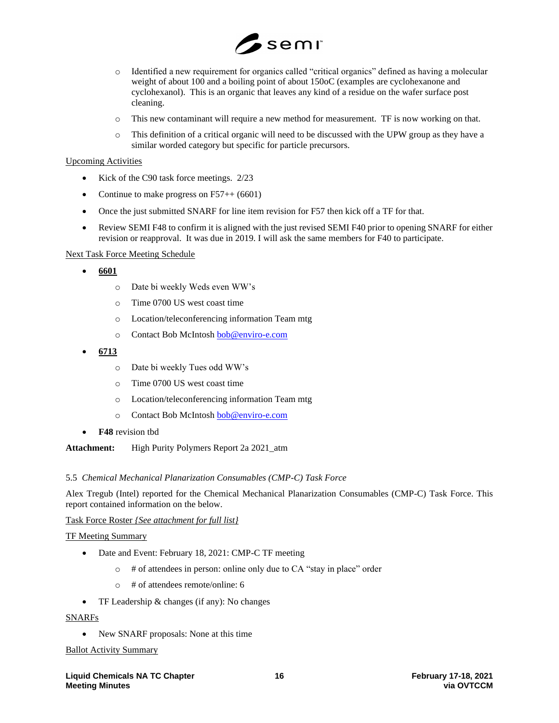

- o Identified a new requirement for organics called "critical organics" defined as having a molecular weight of about 100 and a boiling point of about 150oC (examples are cyclohexanone and cyclohexanol). This is an organic that leaves any kind of a residue on the wafer surface post cleaning.
- o This new contaminant will require a new method for measurement. TF is now working on that.
- o This definition of a critical organic will need to be discussed with the UPW group as they have a similar worded category but specific for particle precursors.

## Upcoming Activities

- Kick of the C90 task force meetings. 2/23
- Continue to make progress on  $F57++(6601)$
- Once the just submitted SNARF for line item revision for F57 then kick off a TF for that.
- Review SEMI F48 to confirm it is aligned with the just revised SEMI F40 prior to opening SNARF for either revision or reapproval. It was due in 2019. I will ask the same members for F40 to participate.

# Next Task Force Meeting Schedule

- **6601** 
	- o Date bi weekly Weds even WW's
	- o Time 0700 US west coast time
	- o Location/teleconferencing information Team mtg
	- o Contact Bob McIntos[h bob@enviro-e.com](mailto:bob@enviro-e.com)
- **6713**
	- o Date bi weekly Tues odd WW's
	- o Time 0700 US west coast time
	- o Location/teleconferencing information Team mtg
	- o Contact Bob McIntos[h bob@enviro-e.com](mailto:bob@enviro-e.com)
- **F48** revision tbd

#### **Attachment:** High Purity Polymers Report 2a 2021\_atm

#### 5.5 *Chemical Mechanical Planarization Consumables (CMP-C) Task Force*

Alex Tregub (Intel) reported for the Chemical Mechanical Planarization Consumables (CMP-C) Task Force. This report contained information on the below.

#### Task Force Roster *{See attachment for full list}*

#### TF Meeting Summary

- Date and Event: February 18, 2021: CMP-C TF meeting
	- o # of attendees in person: online only due to CA "stay in place" order
	- o # of attendees remote/online: 6
- TF Leadership & changes (if any): No changes

### SNARFs

• New SNARF proposals: None at this time

#### Ballot Activity Summary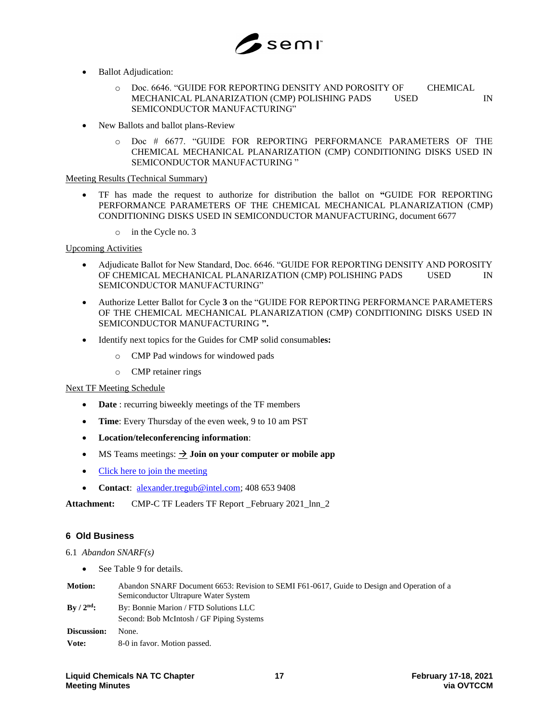

- **Ballot Adjudication:** 
	- o Doc. 6646. "GUIDE FOR REPORTING DENSITY AND POROSITY OF CHEMICAL MECHANICAL PLANARIZATION (CMP) POLISHING PADS USED IN SEMICONDUCTOR MANUFACTURING"
- New Ballots and ballot plans-Review
	- o Doc # 6677. "GUIDE FOR REPORTING PERFORMANCE PARAMETERS OF THE CHEMICAL MECHANICAL PLANARIZATION (CMP) CONDITIONING DISKS USED IN SEMICONDUCTOR MANUFACTURING "

## Meeting Results (Technical Summary)

- TF has made the request to authorize for distribution the ballot on **"**GUIDE FOR REPORTING PERFORMANCE PARAMETERS OF THE CHEMICAL MECHANICAL PLANARIZATION (CMP) CONDITIONING DISKS USED IN SEMICONDUCTOR MANUFACTURING, document 6677
	- o in the Cycle no. 3

## Upcoming Activities

- Adjudicate Ballot for New Standard, Doc. 6646. "GUIDE FOR REPORTING DENSITY AND POROSITY OF CHEMICAL MECHANICAL PLANARIZATION (CMP) POLISHING PADS USED IN SEMICONDUCTOR MANUFACTURING"
- Authorize Letter Ballot for Cycle **3** on the "GUIDE FOR REPORTING PERFORMANCE PARAMETERS OF THE CHEMICAL MECHANICAL PLANARIZATION (CMP) CONDITIONING DISKS USED IN SEMICONDUCTOR MANUFACTURING **".**
- Identify next topics for the Guides for CMP solid consumabl**es:**
	- o CMP Pad windows for windowed pads
	- o CMP retainer rings

#### Next TF Meeting Schedule

- **Date** : recurring biweekly meetings of the TF members
- **Time**: Every Thursday of the even week, 9 to 10 am PST
- **Location/teleconferencing information**:
- MS Teams meetings:  $\rightarrow$  **Join on your computer or mobile app**
- [Click here to join the meeting](https://teams.microsoft.com/l/meetup-join/19%3ameeting_ZmY1YWFmZTMtNWI2NC00ZDc1LWEzMGMtY2I0ZTUzZDI2OWIx%40thread.v2/0?context=%7b%22Tid%22%3a%2246c98d88-e344-4ed4-8496-4ed7712e255d%22%2c%22Oid%22%3a%2281099c1e-1a65-4147-9c2c-14de79f7cda2%22%7d)
- **Contact**: [alexander.tregub@intel.com;](mailto:alexander.tregub@intel.com) 408 653 9408

Attachment: CMP-C TF Leaders TF Report February 2021 lnn 2

# **6 Old Business**

- 6.1 *Abandon SNARF(s)*
	- See Table 9 for details.
- **Motion:** Abandon SNARF Document 6653: Revision to SEMI F61-0617, Guide to Design and Operation of a Semiconductor Ultrapure Water System **By / 2nd:** By: Bonnie Marion / FTD Solutions LLC Second: Bob McIntosh / GF Piping Systems **Discussion:** None. **Vote:** 8-0 in favor. Motion passed.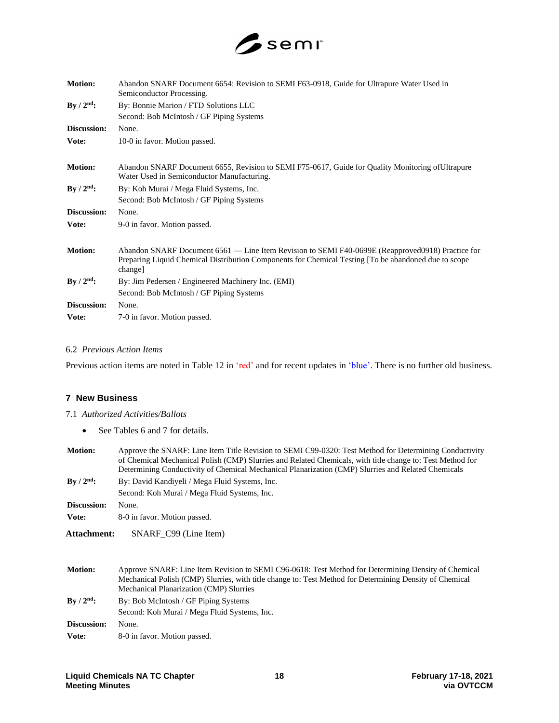

| <b>Motion:</b> | Abandon SNARF Document 6654: Revision to SEMI F63-0918, Guide for Ultrapure Water Used in<br>Semiconductor Processing.                                                                                              |
|----------------|---------------------------------------------------------------------------------------------------------------------------------------------------------------------------------------------------------------------|
| $By / 2nd$ :   | By: Bonnie Marion / FTD Solutions LLC                                                                                                                                                                               |
|                | Second: Bob McIntosh / GF Piping Systems                                                                                                                                                                            |
| Discussion:    | None.                                                                                                                                                                                                               |
| Vote:          | 10-0 in favor. Motion passed.                                                                                                                                                                                       |
| <b>Motion:</b> | Abandon SNARF Document 6655, Revision to SEMI F75-0617, Guide for Quality Monitoring of Ultrapure<br>Water Used in Semiconductor Manufacturing.                                                                     |
| By $/ 2nd$ :   | By: Koh Murai / Mega Fluid Systems, Inc.                                                                                                                                                                            |
|                | Second: Bob McIntosh / GF Piping Systems                                                                                                                                                                            |
| Discussion:    | None.                                                                                                                                                                                                               |
| Vote:          | 9-0 in favor. Motion passed.                                                                                                                                                                                        |
| <b>Motion:</b> | Abandon SNARF Document 6561 — Line Item Revision to SEMI F40-0699E (Reapproved0918) Practice for<br>Preparing Liquid Chemical Distribution Components for Chemical Testing [To be abandoned due to scope<br>change] |
| $By / 2nd$ :   | By: Jim Pedersen / Engineered Machinery Inc. (EMI)                                                                                                                                                                  |
|                | Second: Bob McIntosh / GF Piping Systems                                                                                                                                                                            |
| Discussion:    | None.                                                                                                                                                                                                               |
| Vote:          | 7-0 in favor. Motion passed.                                                                                                                                                                                        |

#### 6.2 *Previous Action Items*

Previous action items are noted in Table 12 in 'red' and for recent updates in 'blue'. There is no further old business.

# **7 New Business**

## 7.1 *Authorized Activities/Ballots*

• See Tables 6 and 7 for details.

| <b>Motion:</b>             | Approve the SNARF: Line Item Title Revision to SEMI C99-0320: Test Method for Determining Conductivity<br>of Chemical Mechanical Polish (CMP) Slurries and Related Chemicals, with title change to: Test Method for<br>Determining Conductivity of Chemical Mechanical Planarization (CMP) Slurries and Related Chemicals |  |
|----------------------------|---------------------------------------------------------------------------------------------------------------------------------------------------------------------------------------------------------------------------------------------------------------------------------------------------------------------------|--|
| $\rm\,By$ / $\rm 2^{nd}$ : | By: David Kandiyeli / Mega Fluid Systems, Inc.                                                                                                                                                                                                                                                                            |  |
|                            | Second: Koh Murai / Mega Fluid Systems, Inc.                                                                                                                                                                                                                                                                              |  |
| Discussion:                | None.                                                                                                                                                                                                                                                                                                                     |  |
| Vote:                      | 8-0 in favor. Motion passed.                                                                                                                                                                                                                                                                                              |  |
| Attachment:                | SNARF C99 (Line Item)                                                                                                                                                                                                                                                                                                     |  |

| <b>Motion:</b>     | Approve SNARF: Line Item Revision to SEMI C96-0618: Test Method for Determining Density of Chemical<br>Mechanical Polish (CMP) Slurries, with title change to: Test Method for Determining Density of Chemical |
|--------------------|----------------------------------------------------------------------------------------------------------------------------------------------------------------------------------------------------------------|
|                    | Mechanical Planarization (CMP) Slurries                                                                                                                                                                        |
| $\rm{Bv}/2^{nd}$ : | By: Bob McIntosh / GF Piping Systems                                                                                                                                                                           |
|                    | Second: Koh Murai / Mega Fluid Systems, Inc.                                                                                                                                                                   |
| Discussion:        | None.                                                                                                                                                                                                          |
| Vote:              | 8-0 in favor. Motion passed.                                                                                                                                                                                   |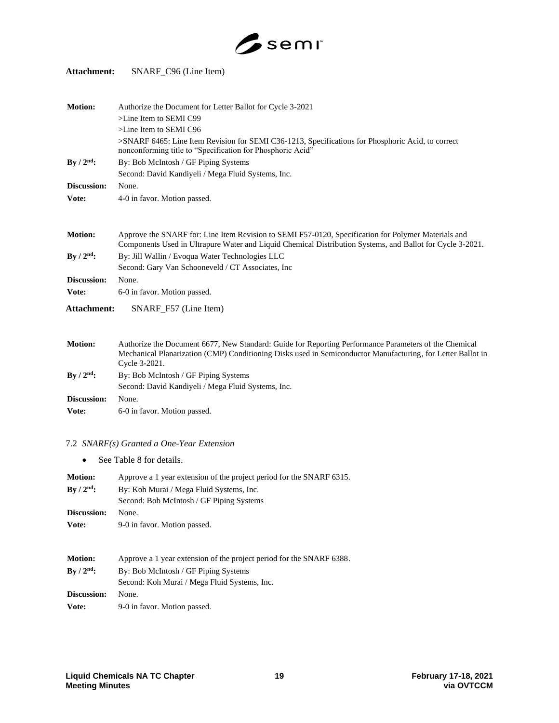

# **Attachment:** SNARF\_C96 (Line Item)

| <b>Motion:</b>     | Authorize the Document for Letter Ballot for Cycle 3-2021                                                                                                                                                                             |
|--------------------|---------------------------------------------------------------------------------------------------------------------------------------------------------------------------------------------------------------------------------------|
|                    | $>$ Line Item to SEMI C99                                                                                                                                                                                                             |
|                    | >Line Item to SEMI C96                                                                                                                                                                                                                |
|                    | >SNARF 6465: Line Item Revision for SEMI C36-1213, Specifications for Phosphoric Acid, to correct<br>nonconforming title to "Specification for Phosphoric Acid"                                                                       |
| By $/ 2nd$ :       | By: Bob McIntosh / GF Piping Systems                                                                                                                                                                                                  |
|                    | Second: David Kandiyeli / Mega Fluid Systems, Inc.                                                                                                                                                                                    |
| Discussion:        | None.                                                                                                                                                                                                                                 |
| Vote:              | 4-0 in favor. Motion passed.                                                                                                                                                                                                          |
|                    |                                                                                                                                                                                                                                       |
| <b>Motion:</b>     | Approve the SNARF for: Line Item Revision to SEMI F57-0120, Specification for Polymer Materials and<br>Components Used in Ultrapure Water and Liquid Chemical Distribution Systems, and Ballot for Cycle 3-2021.                      |
| By $/ 2nd$ :       | By: Jill Wallin / Evoqua Water Technologies LLC                                                                                                                                                                                       |
|                    | Second: Gary Van Schooneveld / CT Associates, Inc                                                                                                                                                                                     |
| Discussion:        | None.                                                                                                                                                                                                                                 |
| Vote:              | 6-0 in favor. Motion passed.                                                                                                                                                                                                          |
| Attachment:        | SNARF_F57 (Line Item)                                                                                                                                                                                                                 |
|                    |                                                                                                                                                                                                                                       |
| <b>Motion:</b>     | Authorize the Document 6677, New Standard: Guide for Reporting Performance Parameters of the Chemical<br>Mechanical Planarization (CMP) Conditioning Disks used in Semiconductor Manufacturing, for Letter Ballot in<br>Cycle 3-2021. |
| $\rm{Bv}/2^{nd}$ : | By: Bob McIntosh / GF Piping Systems                                                                                                                                                                                                  |
|                    |                                                                                                                                                                                                                                       |

Second: David Kandiyeli / Mega Fluid Systems, Inc.

**Discussion:** None. Vote: 6-0 in favor. Motion passed.

# 7.2 *SNARF(s) Granted a One-Year Extension*

• See Table 8 for details.

| <b>Motion:</b><br>By $/ 2nd$ : | Approve a 1 year extension of the project period for the SNARF 6315.<br>By: Koh Murai / Mega Fluid Systems, Inc.<br>Second: Bob McIntosh / GF Piping Systems |  |  |
|--------------------------------|--------------------------------------------------------------------------------------------------------------------------------------------------------------|--|--|
| Discussion:                    | None.                                                                                                                                                        |  |  |
| Vote:                          | 9-0 in favor. Motion passed.                                                                                                                                 |  |  |
| <b>Motion:</b>                 | Approve a 1 year extension of the project period for the SNARF 6388.                                                                                         |  |  |
| $\rm{By}/2^{nd}$ :             | By: Bob McIntosh / GF Piping Systems                                                                                                                         |  |  |
|                                | Second: Koh Murai / Mega Fluid Systems, Inc.                                                                                                                 |  |  |
| Discussion:                    | None.                                                                                                                                                        |  |  |
| Vote:                          | 9-0 in favor. Motion passed.                                                                                                                                 |  |  |